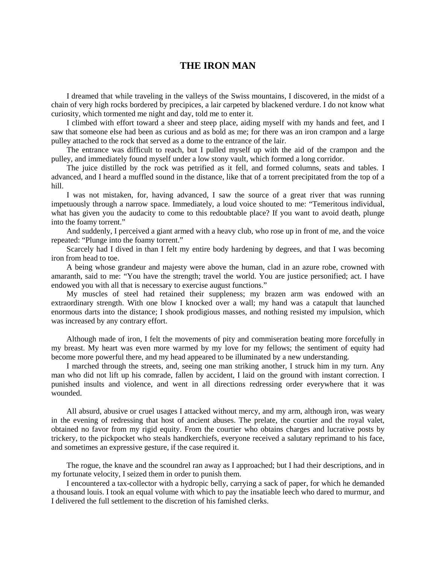## **THE IRON MAN**

I dreamed that while traveling in the valleys of the Swiss mountains, I discovered, in the midst of a chain of very high rocks bordered by precipices, a lair carpeted by blackened verdure. I do not know what curiosity, which tormented me night and day, told me to enter it.

I climbed with effort toward a sheer and steep place, aiding myself with my hands and feet, and I saw that someone else had been as curious and as bold as me; for there was an iron crampon and a large pulley attached to the rock that served as a dome to the entrance of the lair.

The entrance was difficult to reach, but I pulled myself up with the aid of the crampon and the pulley, and immediately found myself under a low stony vault, which formed a long corridor.

The juice distilled by the rock was petrified as it fell, and formed columns, seats and tables. I advanced, and I heard a muffled sound in the distance, like that of a torrent precipitated from the top of a hill.

I was not mistaken, for, having advanced, I saw the source of a great river that was running impetuously through a narrow space. Immediately, a loud voice shouted to me: "Temeritous individual, what has given you the audacity to come to this redoubtable place? If you want to avoid death, plunge into the foamy torrent."

And suddenly, I perceived a giant armed with a heavy club, who rose up in front of me, and the voice repeated: "Plunge into the foamy torrent."

Scarcely had I dived in than I felt my entire body hardening by degrees, and that I was becoming iron from head to toe.

A being whose grandeur and majesty were above the human, clad in an azure robe, crowned with amaranth, said to me: "You have the strength; travel the world. You are justice personified; act. I have endowed you with all that is necessary to exercise august functions."

My muscles of steel had retained their suppleness; my brazen arm was endowed with an extraordinary strength. With one blow I knocked over a wall; my hand was a catapult that launched enormous darts into the distance; I shook prodigious masses, and nothing resisted my impulsion, which was increased by any contrary effort.

Although made of iron, I felt the movements of pity and commiseration beating more forcefully in my breast. My heart was even more warmed by my love for my fellows; the sentiment of equity had become more powerful there, and my head appeared to be illuminated by a new understanding.

I marched through the streets, and, seeing one man striking another, I struck him in my turn. Any man who did not lift up his comrade, fallen by accident, I laid on the ground with instant correction. I punished insults and violence, and went in all directions redressing order everywhere that it was wounded.

All absurd, abusive or cruel usages I attacked without mercy, and my arm, although iron, was weary in the evening of redressing that host of ancient abuses. The prelate, the courtier and the royal valet, obtained no favor from my rigid equity. From the courtier who obtains charges and lucrative posts by trickery, to the pickpocket who steals handkerchiefs, everyone received a salutary reprimand to his face, and sometimes an expressive gesture, if the case required it.

The rogue, the knave and the scoundrel ran away as I approached; but I had their descriptions, and in my fortunate velocity, I seized them in order to punish them.

I encountered a tax-collector with a hydropic belly, carrying a sack of paper, for which he demanded a thousand louis. I took an equal volume with which to pay the insatiable leech who dared to murmur, and I delivered the full settlement to the discretion of his famished clerks.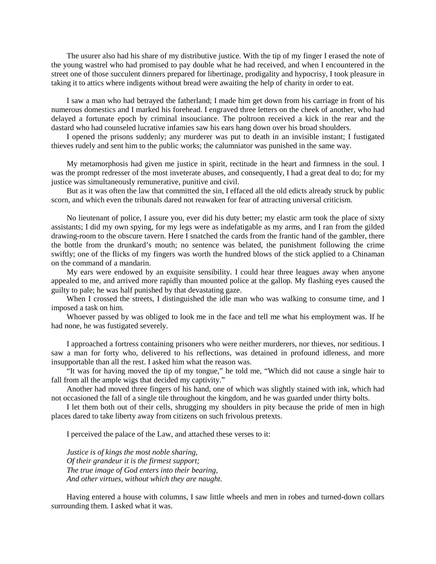The usurer also had his share of my distributive justice. With the tip of my finger I erased the note of the young wastrel who had promised to pay double what he had received, and when I encountered in the street one of those succulent dinners prepared for libertinage, prodigality and hypocrisy, I took pleasure in taking it to attics where indigents without bread were awaiting the help of charity in order to eat.

I saw a man who had betrayed the fatherland; I made him get down from his carriage in front of his numerous domestics and I marked his forehead. I engraved three letters on the cheek of another, who had delayed a fortunate epoch by criminal insouciance. The poltroon received a kick in the rear and the dastard who had counseled lucrative infamies saw his ears hang down over his broad shoulders.

I opened the prisons suddenly; any murderer was put to death in an invisible instant; I fustigated thieves rudely and sent him to the public works; the calumniator was punished in the same way.

My metamorphosis had given me justice in spirit, rectitude in the heart and firmness in the soul. I was the prompt redresser of the most inveterate abuses, and consequently, I had a great deal to do; for my justice was simultaneously remunerative, punitive and civil.

But as it was often the law that committed the sin, I effaced all the old edicts already struck by public scorn, and which even the tribunals dared not reawaken for fear of attracting universal criticism.

No lieutenant of police, I assure you, ever did his duty better; my elastic arm took the place of sixty assistants; I did my own spying, for my legs were as indefatigable as my arms, and I ran from the gilded drawing-room to the obscure tavern. Here I snatched the cards from the frantic hand of the gambler, there the bottle from the drunkard's mouth; no sentence was belated, the punishment following the crime swiftly; one of the flicks of my fingers was worth the hundred blows of the stick applied to a Chinaman on the command of a mandarin.

My ears were endowed by an exquisite sensibility. I could hear three leagues away when anyone appealed to me, and arrived more rapidly than mounted police at the gallop. My flashing eyes caused the guilty to pale; he was half punished by that devastating gaze.

When I crossed the streets, I distinguished the idle man who was walking to consume time, and I imposed a task on him.

Whoever passed by was obliged to look me in the face and tell me what his employment was. If he had none, he was fustigated severely.

I approached a fortress containing prisoners who were neither murderers, nor thieves, nor seditious. I saw a man for forty who, delivered to his reflections, was detained in profound idleness, and more insupportable than all the rest. I asked him what the reason was.

"It was for having moved the tip of my tongue," he told me, "Which did not cause a single hair to fall from all the ample wigs that decided my captivity."

Another had moved three fingers of his hand, one of which was slightly stained with ink, which had not occasioned the fall of a single tile throughout the kingdom, and he was guarded under thirty bolts.

I let them both out of their cells, shrugging my shoulders in pity because the pride of men in high places dared to take liberty away from citizens on such frivolous pretexts.

I perceived the palace of the Law, and attached these verses to it:

*Justice is of kings the most noble sharing, Of their grandeur it is the firmest support; The true image of God enters into their bearing, And other virtues, without which they are naught*.

Having entered a house with columns, I saw little wheels and men in robes and turned-down collars surrounding them. I asked what it was.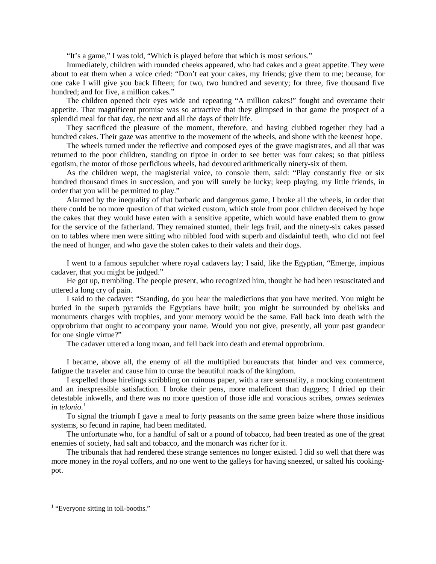"It's a game," I was told, "Which is played before that which is most serious."

Immediately, children with rounded cheeks appeared, who had cakes and a great appetite. They were about to eat them when a voice cried: "Don't eat your cakes, my friends; give them to me; because, for one cake I will give you back fifteen; for two, two hundred and seventy; for three, five thousand five hundred; and for five, a million cakes."

The children opened their eyes wide and repeating "A million cakes!" fought and overcame their appetite. That magnificent promise was so attractive that they glimpsed in that game the prospect of a splendid meal for that day, the next and all the days of their life.

They sacrificed the pleasure of the moment, therefore, and having clubbed together they had a hundred cakes. Their gaze was attentive to the movement of the wheels, and shone with the keenest hope.

The wheels turned under the reflective and composed eyes of the grave magistrates, and all that was returned to the poor children, standing on tiptoe in order to see better was four cakes; so that pitiless egotism, the motor of those perfidious wheels, had devoured arithmetically ninety-six of them.

As the children wept, the magisterial voice, to console them, said: "Play constantly five or six hundred thousand times in succession, and you will surely be lucky; keep playing, my little friends, in order that you will be permitted to play."

Alarmed by the inequality of that barbaric and dangerous game, I broke all the wheels, in order that there could be no more question of that wicked custom, which stole from poor children deceived by hope the cakes that they would have eaten with a sensitive appetite, which would have enabled them to grow for the service of the fatherland. They remained stunted, their legs frail, and the ninety-six cakes passed on to tables where men were sitting who nibbled food with superb and disdainful teeth, who did not feel the need of hunger, and who gave the stolen cakes to their valets and their dogs.

I went to a famous sepulcher where royal cadavers lay; I said, like the Egyptian, "Emerge, impious cadaver, that you might be judged."

He got up, trembling. The people present, who recognized him, thought he had been resuscitated and uttered a long cry of pain.

I said to the cadaver: "Standing, do you hear the maledictions that you have merited. You might be buried in the superb pyramids the Egyptians have built; you might be surrounded by obelisks and monuments charges with trophies, and your memory would be the same. Fall back into death with the opprobrium that ought to accompany your name. Would you not give, presently, all your past grandeur for one single virtue?"

The cadaver uttered a long moan, and fell back into death and eternal opprobrium.

I became, above all, the enemy of all the multiplied bureaucrats that hinder and vex commerce, fatigue the traveler and cause him to curse the beautiful roads of the kingdom.

I expelled those hirelings scribbling on ruinous paper, with a rare sensuality, a mocking contentment and an inexpressible satisfaction. I broke their pens, more maleficent than daggers; I dried up their detestable inkwells, and there was no more question of those idle and voracious scribes, *omnes sedentes in telonio*. [1](#page-2-0)

To signal the triumph I gave a meal to forty peasants on the same green baize where those insidious systems, so fecund in rapine, had been meditated.

The unfortunate who, for a handful of salt or a pound of tobacco, had been treated as one of the great enemies of society, had salt and tobacco, and the monarch was richer for it.

The tribunals that had rendered these strange sentences no longer existed. I did so well that there was more money in the royal coffers, and no one went to the galleys for having sneezed, or salted his cookingpot.

<span id="page-2-0"></span> $<sup>1</sup>$  "Everyone sitting in toll-booths."</sup>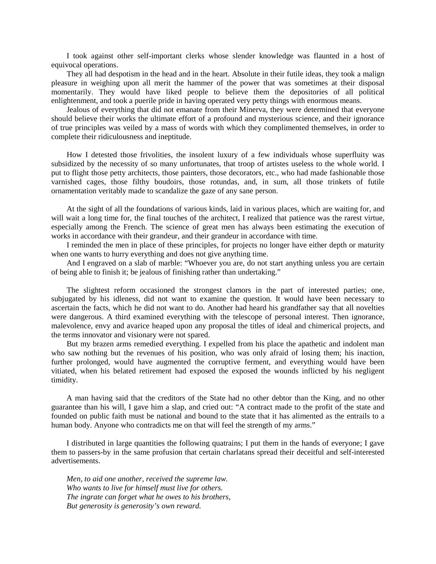I took against other self-important clerks whose slender knowledge was flaunted in a host of equivocal operations.

They all had despotism in the head and in the heart. Absolute in their futile ideas, they took a malign pleasure in weighing upon all merit the hammer of the power that was sometimes at their disposal momentarily. They would have liked people to believe them the depositories of all political enlightenment, and took a puerile pride in having operated very petty things with enormous means.

Jealous of everything that did not emanate from their Minerva, they were determined that everyone should believe their works the ultimate effort of a profound and mysterious science, and their ignorance of true principles was veiled by a mass of words with which they complimented themselves, in order to complete their ridiculousness and ineptitude.

How I detested those frivolities, the insolent luxury of a few individuals whose superfluity was subsidized by the necessity of so many unfortunates, that troop of artistes useless to the whole world. I put to flight those petty architects, those painters, those decorators, etc., who had made fashionable those varnished cages, those filthy boudoirs, those rotundas, and, in sum, all those trinkets of futile ornamentation veritably made to scandalize the gaze of any sane person.

At the sight of all the foundations of various kinds, laid in various places, which are waiting for, and will wait a long time for, the final touches of the architect, I realized that patience was the rarest virtue, especially among the French. The science of great men has always been estimating the execution of works in accordance with their grandeur, and their grandeur in accordance with time.

I reminded the men in place of these principles, for projects no longer have either depth or maturity when one wants to hurry everything and does not give anything time.

And I engraved on a slab of marble: "Whoever you are, do not start anything unless you are certain of being able to finish it; be jealous of finishing rather than undertaking."

The slightest reform occasioned the strongest clamors in the part of interested parties; one, subjugated by his idleness, did not want to examine the question. It would have been necessary to ascertain the facts, which he did not want to do. Another had heard his grandfather say that all novelties were dangerous. A third examined everything with the telescope of personal interest. Then ignorance, malevolence, envy and avarice heaped upon any proposal the titles of ideal and chimerical projects, and the terms innovator and visionary were not spared.

But my brazen arms remedied everything. I expelled from his place the apathetic and indolent man who saw nothing but the revenues of his position, who was only afraid of losing them; his inaction, further prolonged, would have augmented the corruptive ferment, and everything would have been vitiated, when his belated retirement had exposed the exposed the wounds inflicted by his negligent timidity.

A man having said that the creditors of the State had no other debtor than the King, and no other guarantee than his will, I gave him a slap, and cried out: "A contract made to the profit of the state and founded on public faith must be national and bound to the state that it has alimented as the entrails to a human body. Anyone who contradicts me on that will feel the strength of my arms."

I distributed in large quantities the following quatrains; I put them in the hands of everyone; I gave them to passers-by in the same profusion that certain charlatans spread their deceitful and self-interested advertisements.

*Men, to aid one another, received the supreme law. Who wants to live for himself must live for others. The ingrate can forget what he owes to his brothers, But generosity is generosity's own reward.*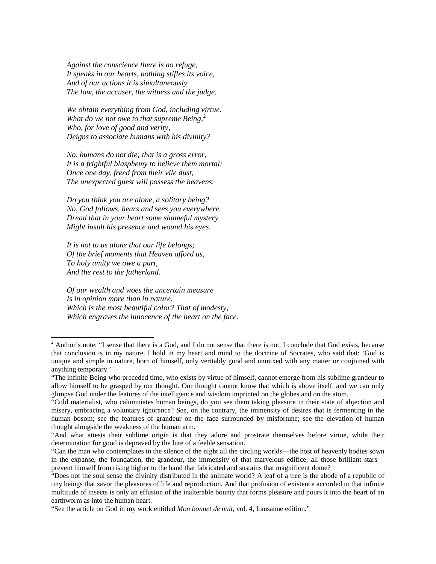*Against the conscience there is no refuge; It speaks in our hearts, nothing stifles its voice, And of our actions it is simultaneously The law, the accuser, the witness and the judge.*

*We obtain everything from God, including virtue. What do we not owe to that supreme Being*, [2](#page-4-0) *Who, for love of good and verity, Deigns to associate humans with his divinity?*

*No, humans do not die; that is a gross error, It is a frightful blasphemy to believe them mortal; Once one day, freed from their vile dust, The unexpected guest will possess the heavens.*

*Do you think you are alone, a solitary being? No, God follows, hears and sees you everywhere. Dread that in your heart some shameful mystery Might insult his presence and wound his eyes.*

*It is not to us alone that our life belongs; Of the brief moments that Heaven afford us, To holy amity we owe a part, And the rest to the fatherland.*

*Of our wealth and woes the uncertain measure Is in opinion more than in nature. Which is the most beautiful color? That of modesty, Which engraves the innocence of the heart on the face.*

<span id="page-4-0"></span> $2$  Author's note: "I sense that there is a God, and I do not sense that there is not. I conclude that God exists, because that conclusion is in my nature. I hold in my heart and mind to the doctrine of Socrates, who said that: 'God is unique and simple in nature, born of himself, only veritably good and unmixed with any matter or conjoined with anything temporary.'

<sup>&</sup>quot;The infinite Being who preceded time, who exists by virtue of himself, cannot emerge from his sublime grandeur to allow himself to be grasped by our thought. Our thought cannot know that which is above itself, and we can only glimpse God under the features of the intelligence and wisdom imprinted on the globes and on the atom.

<sup>&</sup>quot;Cold materialist, who calumniates human beings, do you see them taking pleasure in their state of abjection and misery, embracing a voluntary ignorance? See, on the contrary, the immensity of desires that is fermenting in the human bosom; see the features of grandeur on the face surrounded by misfortune; see the elevation of human thought alongside the weakness of the human arm.

<sup>&</sup>quot;And what attests their sublime origin is that they adore and prostrate themselves before virtue, while their determination for good is depraved by the lure of a feeble sensation.

<sup>&</sup>quot;Can the man who contemplates in the silence of the night all the circling worlds—the host of heavenly bodies sown in the expanse, the foundation, the grandeur, the immensity of that marvelous edifice, all those brilliant stars prevent himself from rising higher to the hand that fabricated and sustains that magnificent dome?

<sup>&</sup>quot;Does not the soul sense the divinity distributed in the animate world? A leaf of a tree is the abode of a republic of tiny beings that savor the pleasures of life and reproduction. And that profusion of existence accorded to that infinite multitude of insects is only an effusion of the inalterable bounty that forms pleasure and pours it into the heart of an earthworm as into the human heart.

<sup>&</sup>quot;See the article on God in my work entitled *Mon bonnet de nuit*, vol. 4, Lausanne edition."